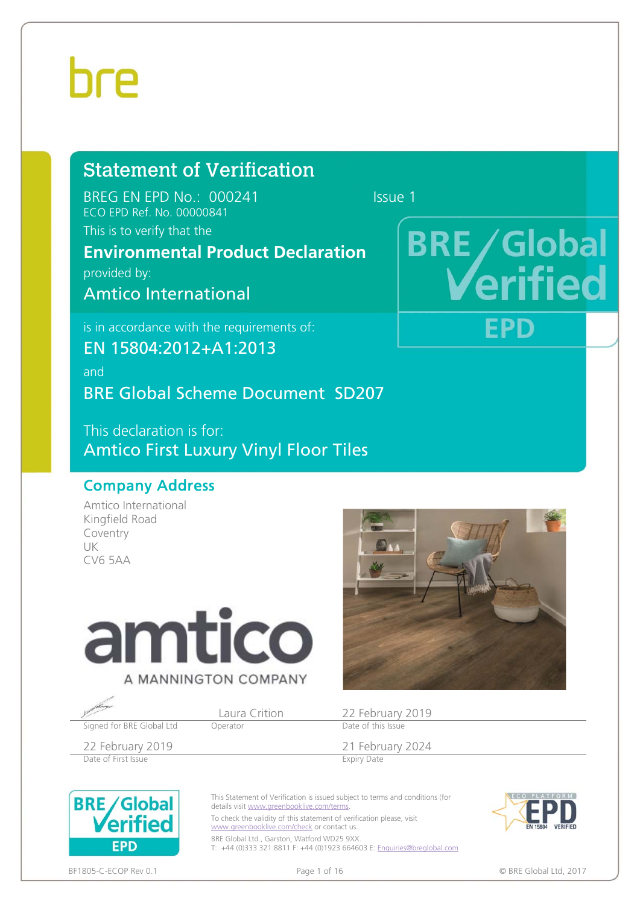### Statement of Verification

BREG EN EPD No.: 000241 Issue 1 ECO EPD Ref. No. 00000841

This is to verify that the

### **Environmental Product Declaration**

provided by:

Amtico International

is in accordance with the requirements of:

EN 15804:2012+A1:2013

and

BRE Global Scheme Document SD207

This declaration is for: Amtico First Luxury Vinyl Floor Tiles

### Company Address

Amtico International Kingfield Road Coventry UK CV6 5AA



Signed for BRE Global Ltd

Date of First Issue



Laura Crition 22 February 2019<br>
Deperator Date of this Issue

22 February 2019<br>
Date of First Issue<br>
Expiry Date of First Issue



This Statement of Verification is issued subject to terms and conditions (for details visit www.greenbooklive.com/terms.

To check the validity of this statement of verification please, visit www.greenbooklive.com/check or contact us.

BRE Global Ltd., Garston, Watford WD25 9XX. T: +44 (0)333 321 8811 F: +44 (0)1923 664603 E: Enquiries@breglobal.com



### **BRE/Global itie EPD**

BF1805-C-ECOP Rev 0.1 **Page 1 of 16** Page 1 of 16 **COP REGION** BRE Global Ltd, 2017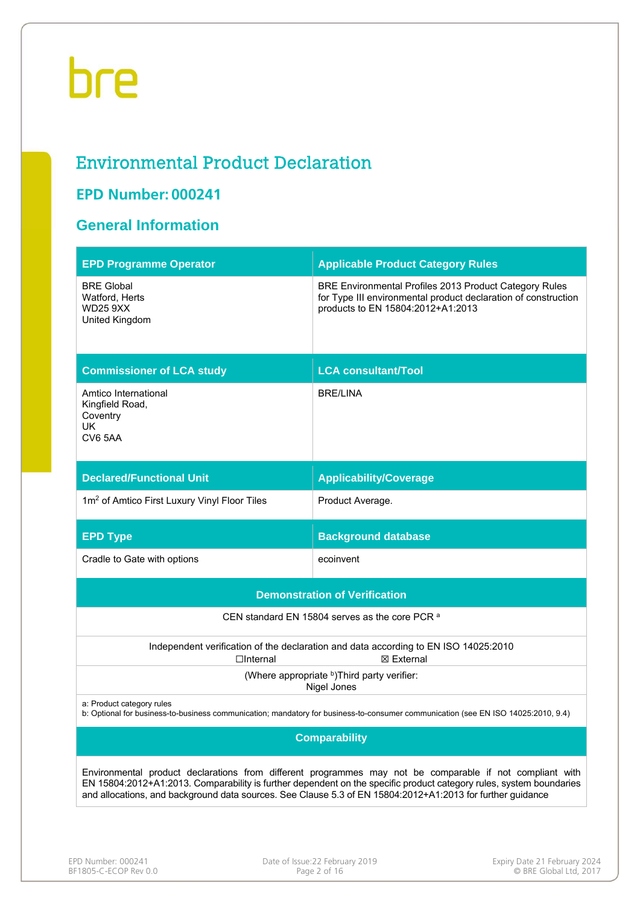### Environmental Product Declaration

### **EPD Number: 000241**

### **General Information**

| <b>EPD Programme Operator</b>                                            | <b>Applicable Product Category Rules</b>                                                                                                                                                                                                                                                                                                      |
|--------------------------------------------------------------------------|-----------------------------------------------------------------------------------------------------------------------------------------------------------------------------------------------------------------------------------------------------------------------------------------------------------------------------------------------|
| <b>BRE Global</b><br>Watford, Herts<br><b>WD25 9XX</b><br>United Kingdom | BRE Environmental Profiles 2013 Product Category Rules<br>for Type III environmental product declaration of construction<br>products to EN 15804:2012+A1:2013                                                                                                                                                                                 |
| <b>Commissioner of LCA study</b>                                         | <b>LCA consultant/Tool</b>                                                                                                                                                                                                                                                                                                                    |
| Amtico International<br>Kingfield Road,<br>Coventry<br>UK<br>CV6 5AA     | <b>BRE/LINA</b>                                                                                                                                                                                                                                                                                                                               |
| <b>Declared/Functional Unit</b>                                          | <b>Applicability/Coverage</b>                                                                                                                                                                                                                                                                                                                 |
| 1m <sup>2</sup> of Amtico First Luxury Vinyl Floor Tiles                 | Product Average.                                                                                                                                                                                                                                                                                                                              |
| <b>EPD Type</b>                                                          | <b>Background database</b>                                                                                                                                                                                                                                                                                                                    |
| Cradle to Gate with options                                              | ecoinvent                                                                                                                                                                                                                                                                                                                                     |
|                                                                          | <b>Demonstration of Verification</b>                                                                                                                                                                                                                                                                                                          |
|                                                                          | CEN standard EN 15804 serves as the core PCR a                                                                                                                                                                                                                                                                                                |
| $\Box$ Internal                                                          | Independent verification of the declaration and data according to EN ISO 14025:2010<br>⊠ External                                                                                                                                                                                                                                             |
|                                                                          | (Where appropriate b)Third party verifier:<br>Nigel Jones                                                                                                                                                                                                                                                                                     |
| a: Product category rules                                                | b: Optional for business-to-business communication; mandatory for business-to-consumer communication (see EN ISO 14025:2010, 9.4)                                                                                                                                                                                                             |
|                                                                          | <b>Comparability</b>                                                                                                                                                                                                                                                                                                                          |
|                                                                          | Environmental product declarations from different programmes may not be comparable if not compliant with<br>EN 15804:2012+A1:2013. Comparability is further dependent on the specific product category rules, system boundaries<br>and allocations, and background data sources. See Clause 5.3 of EN 15804:2012+A1:2013 for further guidance |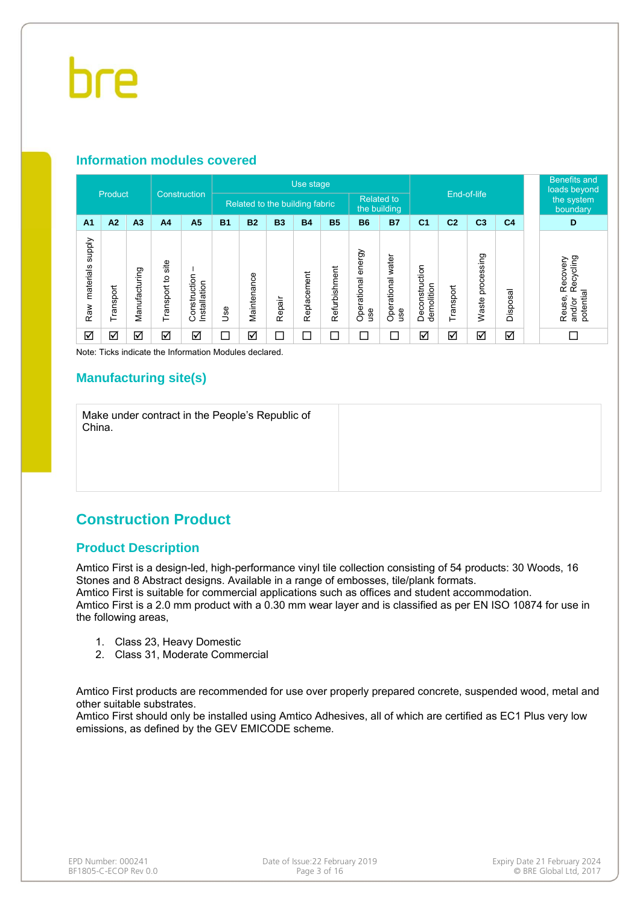### **Information modules covered**

|                            | Product   |                |                      | Construction                 |                          |             |           | Use stage                      |               |                              |                          |                              |                | End-of-life         |                | <b>Benefits and</b><br>loads beyond                    |
|----------------------------|-----------|----------------|----------------------|------------------------------|--------------------------|-------------|-----------|--------------------------------|---------------|------------------------------|--------------------------|------------------------------|----------------|---------------------|----------------|--------------------------------------------------------|
|                            |           |                |                      |                              |                          |             |           | Related to the building fabric |               | <b>Related to</b>            | the building             |                              |                |                     |                | the system<br>boundary                                 |
| A <sub>1</sub>             | A2        | A <sub>3</sub> | A <sub>4</sub>       | A <sub>5</sub>               | <b>B1</b>                | <b>B2</b>   | <b>B3</b> | <b>B4</b>                      | <b>B5</b>     | <b>B6</b>                    | <b>B7</b>                | C <sub>1</sub>               | C <sub>2</sub> | C <sub>3</sub>      | C <sub>4</sub> | D                                                      |
| supply<br>materials<br>Raw | Transport | Manufacturing  | site<br>Transport to | Construction<br>Installation | <b>Jse</b>               | Maintenance | Repair    | Replacement                    | Refurbishment | energy<br>Operational<br>use | Operational water<br>use | Deconstruction<br>demolition | Transport      | processing<br>Waste | Disposal       | Recycling<br>Recovery<br>potential<br>Reuse,<br>and/or |
| ☑                          | ☑         | ☑              | ☑                    | ☑                            | $\overline{\phantom{0}}$ | ☑           | ⊏         | $\Box$                         | П             | П                            | ┍                        | ☑                            | ☑              | ☑                   | ☑              |                                                        |

Note: Ticks indicate the Information Modules declared.

### **Manufacturing site(s)**

Make under contract in the People's Republic of China.

### **Construction Product**

### **Product Description**

Amtico First is a design-led, high-performance vinyl tile collection consisting of 54 products: 30 Woods, 16 Stones and 8 Abstract designs. Available in a range of embosses, tile/plank formats. Amtico First is suitable for commercial applications such as offices and student accommodation. Amtico First is a 2.0 mm product with a 0.30 mm wear layer and is classified as per EN ISO 10874 for use in the following areas,

- 1. Class 23, Heavy Domestic
- 2. Class 31, Moderate Commercial

Amtico First products are recommended for use over properly prepared concrete, suspended wood, metal and other suitable substrates.

Amtico First should only be installed using Amtico Adhesives, all of which are certified as EC1 Plus very low emissions, as defined by the GEV EMICODE scheme.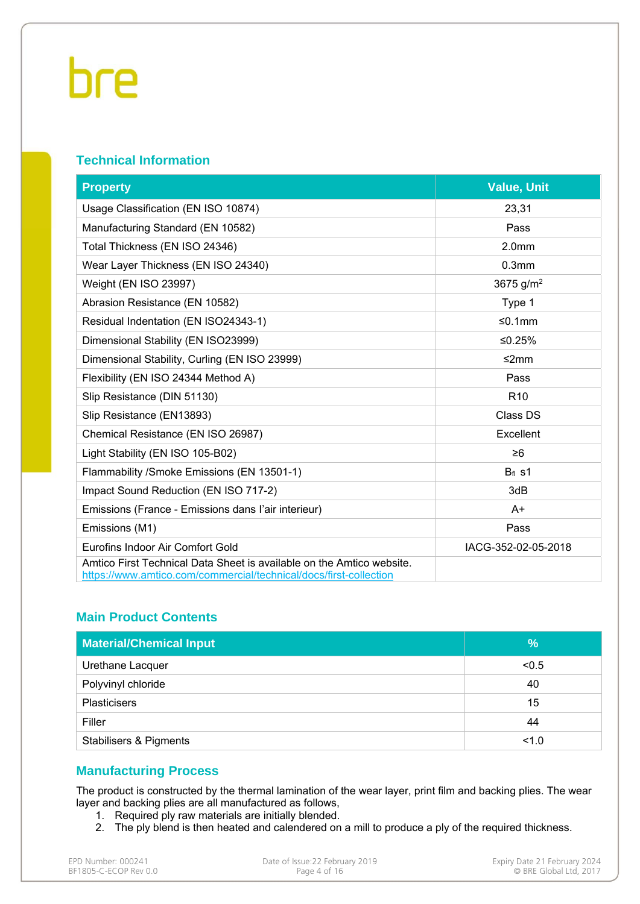### **Technical Information**

| <b>Property</b>                                                                                                                            | <b>Value, Unit</b>    |
|--------------------------------------------------------------------------------------------------------------------------------------------|-----------------------|
| Usage Classification (EN ISO 10874)                                                                                                        | 23,31                 |
| Manufacturing Standard (EN 10582)                                                                                                          | Pass                  |
| Total Thickness (EN ISO 24346)                                                                                                             | 2.0 <sub>mm</sub>     |
| Wear Layer Thickness (EN ISO 24340)                                                                                                        | 0.3 <sub>mm</sub>     |
| Weight (EN ISO 23997)                                                                                                                      | 3675 g/m <sup>2</sup> |
| Abrasion Resistance (EN 10582)                                                                                                             | Type 1                |
| Residual Indentation (EN ISO24343-1)                                                                                                       | $≤0.1mm$              |
| Dimensional Stability (EN ISO23999)                                                                                                        | ≤0.25%                |
| Dimensional Stability, Curling (EN ISO 23999)                                                                                              | ≤2mm                  |
| Flexibility (EN ISO 24344 Method A)                                                                                                        | Pass                  |
| Slip Resistance (DIN 51130)                                                                                                                | R <sub>10</sub>       |
| Slip Resistance (EN13893)                                                                                                                  | Class DS              |
| Chemical Resistance (EN ISO 26987)                                                                                                         | Excellent             |
| Light Stability (EN ISO 105-B02)                                                                                                           | $\geq 6$              |
| Flammability / Smoke Emissions (EN 13501-1)                                                                                                | $Bfl$ s1              |
| Impact Sound Reduction (EN ISO 717-2)                                                                                                      | 3dB                   |
| Emissions (France - Emissions dans l'air interieur)                                                                                        | A+                    |
| Emissions (M1)                                                                                                                             | Pass                  |
| Eurofins Indoor Air Comfort Gold                                                                                                           | IACG-352-02-05-2018   |
| Amtico First Technical Data Sheet is available on the Amtico website.<br>https://www.amtico.com/commercial/technical/docs/first-collection |                       |

### **Main Product Contents**

| <b>Material/Chemical Input</b>    | %     |
|-----------------------------------|-------|
| Urethane Lacquer                  | < 0.5 |
| Polyvinyl chloride                | 40    |
| <b>Plasticisers</b>               | 15    |
| Filler                            | 44    |
| <b>Stabilisers &amp; Pigments</b> | 1.0   |

### **Manufacturing Process**

The product is constructed by the thermal lamination of the wear layer, print film and backing plies. The wear layer and backing plies are all manufactured as follows,

- 1. Required ply raw materials are initially blended.
- 2. The ply blend is then heated and calendered on a mill to produce a ply of the required thickness.

| EPD Number: 000241    | Date of Issue:22 February 2019 | Expiry Date 21 February 2024 |
|-----------------------|--------------------------------|------------------------------|
| BF1805-C-ECOP Rev 0.0 | Page 4 of 16                   | © BRE Global Ltd. 2017       |
|                       |                                |                              |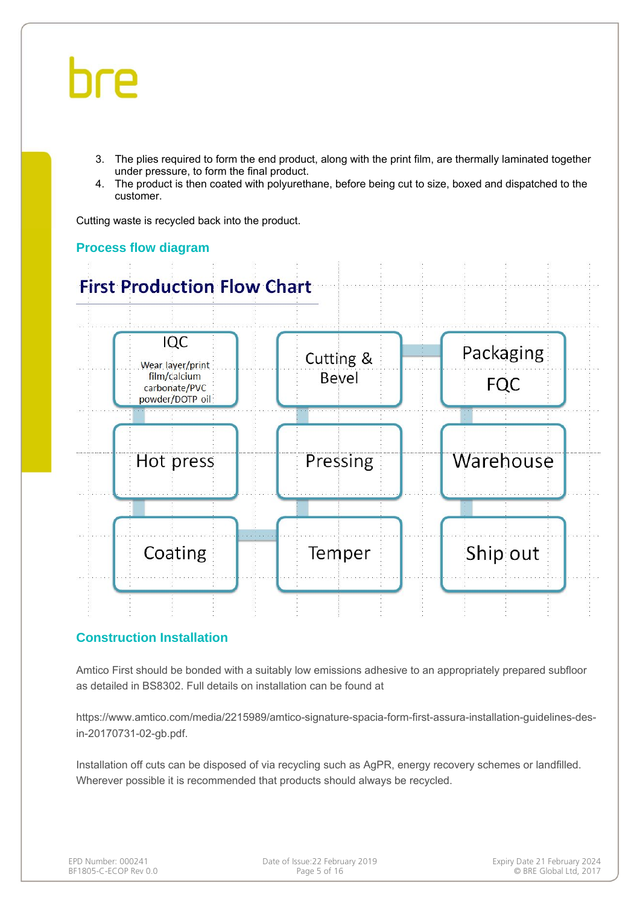- 3. The plies required to form the end product, along with the print film, are thermally laminated together under pressure, to form the final product.
- 4. The product is then coated with polyurethane, before being cut to size, boxed and dispatched to the customer.

Cutting waste is recycled back into the product.



### **Process flow diagram**

### **Construction Installation**

Amtico First should be bonded with a suitably low emissions adhesive to an appropriately prepared subfloor as detailed in BS8302. Full details on installation can be found at

https://www.amtico.com/media/2215989/amtico-signature-spacia-form-first-assura-installation-guidelines-desin-20170731-02-gb.pdf.

Installation off cuts can be disposed of via recycling such as AgPR, energy recovery schemes or landfilled. Wherever possible it is recommended that products should always be recycled.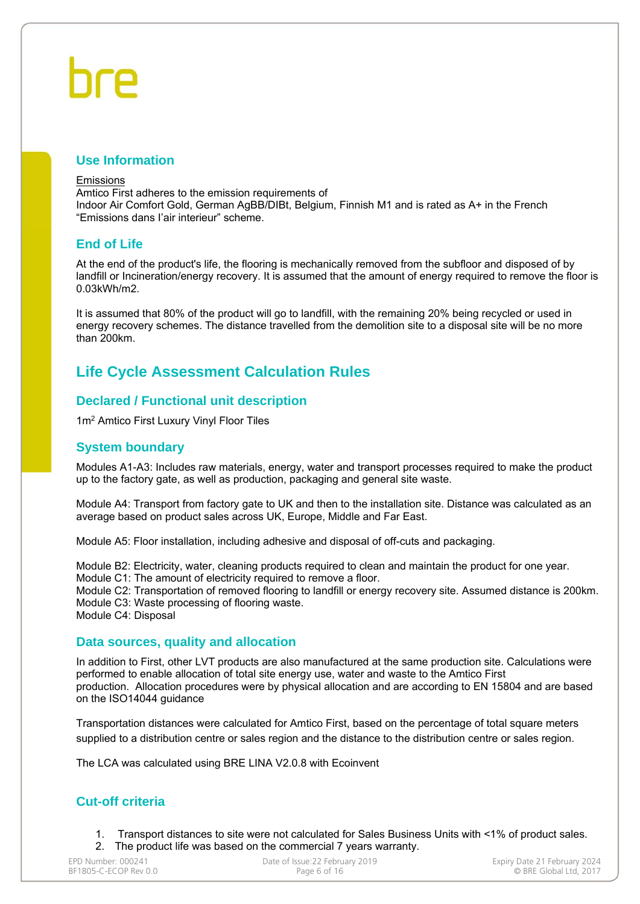#### **Use Information**

#### Emissions

Amtico First adheres to the emission requirements of Indoor Air Comfort Gold, German AgBB/DIBt, Belgium, Finnish M1 and is rated as A+ in the French "Emissions dans I'air interieur" scheme.

### **End of Life**

At the end of the product's life, the flooring is mechanically removed from the subfloor and disposed of by landfill or Incineration/energy recovery. It is assumed that the amount of energy required to remove the floor is 0.03kWh/m2.

It is assumed that 80% of the product will go to landfill, with the remaining 20% being recycled or used in energy recovery schemes. The distance travelled from the demolition site to a disposal site will be no more than 200km.

### **Life Cycle Assessment Calculation Rules**

### **Declared / Functional unit description**

1m2 Amtico First Luxury Vinyl Floor Tiles

### **System boundary**

Modules A1-A3: Includes raw materials, energy, water and transport processes required to make the product up to the factory gate, as well as production, packaging and general site waste.

Module A4: Transport from factory gate to UK and then to the installation site. Distance was calculated as an average based on product sales across UK, Europe, Middle and Far East.

Module A5: Floor installation, including adhesive and disposal of off-cuts and packaging.

Module B2: Electricity, water, cleaning products required to clean and maintain the product for one year.

Module C1: The amount of electricity required to remove a floor.

Module C2: Transportation of removed flooring to landfill or energy recovery site. Assumed distance is 200km. Module C3: Waste processing of flooring waste.

Module C4: Disposal

#### **Data sources, quality and allocation**

In addition to First, other LVT products are also manufactured at the same production site. Calculations were performed to enable allocation of total site energy use, water and waste to the Amtico First production. Allocation procedures were by physical allocation and are according to EN 15804 and are based on the ISO14044 guidance

Transportation distances were calculated for Amtico First, based on the percentage of total square meters supplied to a distribution centre or sales region and the distance to the distribution centre or sales region.

The LCA was calculated using BRE LINA V2.0.8 with Ecoinvent

### **Cut-off criteria**

1. Transport distances to site were not calculated for Sales Business Units with <1% of product sales. 2. The product life was based on the commercial 7 years warranty.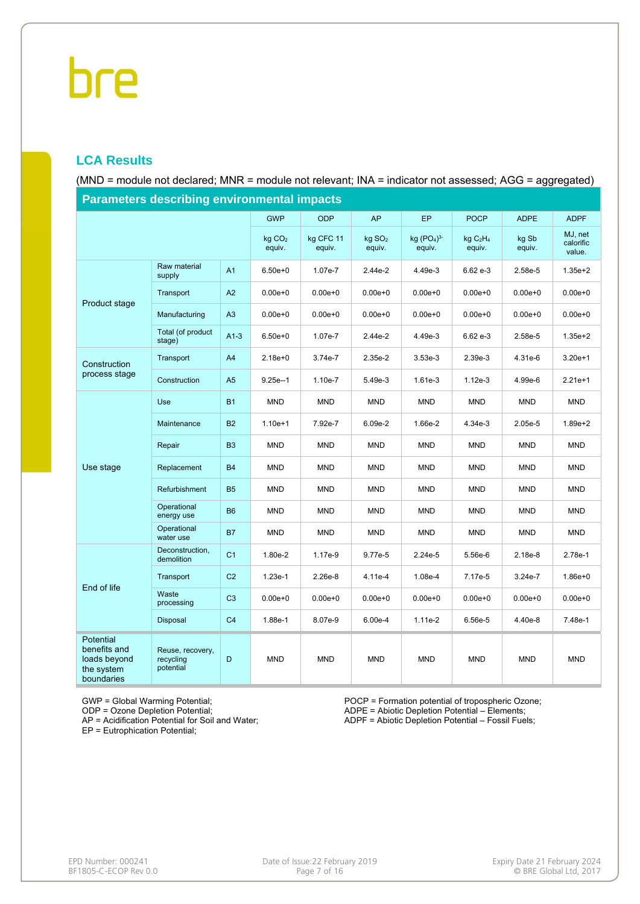### **LCA Results**

(MND = module not declared; MNR = module not relevant; INA = indicator not assessed; AGG = aggregated)

|                                                                       | r arameters describing environmentar impacts |                |                      |                     |                              |                        |                                            |                 |                                |
|-----------------------------------------------------------------------|----------------------------------------------|----------------|----------------------|---------------------|------------------------------|------------------------|--------------------------------------------|-----------------|--------------------------------|
|                                                                       |                                              |                | <b>GWP</b>           | <b>ODP</b>          | AP                           | <b>EP</b>              | <b>POCP</b>                                | <b>ADPE</b>     | <b>ADPF</b>                    |
|                                                                       |                                              |                | $kq$ $CO2$<br>equiv. | kg CFC 11<br>equiv. | kg SO <sub>2</sub><br>equiv. | kg $(PO4)3-$<br>equiv. | kg C <sub>2</sub> H <sub>4</sub><br>equiv. | kg Sb<br>equiv. | MJ, net<br>calorific<br>value. |
|                                                                       | Raw material<br>supply                       | A <sub>1</sub> | $6.50e + 0$          | 1.07e-7             | 2.44e-2                      | 4.49e-3                | 6.62 e-3                                   | 2.58e-5         | $1.35e + 2$                    |
| Product stage                                                         | Transport                                    | A2             | $0.00e + 0$          | $0.00e + 0$         | $0.00e + 0$                  | $0.00e + 0$            | $0.00e + 0$                                | $0.00e + 0$     | $0.00e + 0$                    |
|                                                                       | Manufacturing                                | A3             | $0.00e + 0$          | $0.00e + 0$         | $0.00e + 0$                  | $0.00e + 0$            | $0.00e + 0$                                | $0.00e + 0$     | $0.00e + 0$                    |
|                                                                       | Total (of product<br>stage)                  | $A1-3$         | $6.50e + 0$          | 1.07e-7             | 2.44e-2                      | 4.49e-3                | $6.62e-3$                                  | 2.58e-5         | $1.35e + 2$                    |
| Construction                                                          | Transport                                    | A <sub>4</sub> | $2.18e + 0$          | 3.74e-7             | 2.35e-2                      | $3.53e-3$              | 2.39e-3                                    | 4.31e-6         | $3.20e+1$                      |
| process stage                                                         | Construction                                 | A <sub>5</sub> | $9.25e-1$            | 1.10e-7             | 5.49e-3                      | 1.61e-3                | $1.12e-3$                                  | 4.99e-6         | $2.21e+1$                      |
|                                                                       | <b>Use</b>                                   | <b>B1</b>      | <b>MND</b>           | <b>MND</b>          | <b>MND</b>                   | <b>MND</b>             | <b>MND</b>                                 | <b>MND</b>      | <b>MND</b>                     |
|                                                                       | Maintenance                                  | <b>B2</b>      | $1.10e + 1$          | 7.92e-7             | 6.09e-2                      | 1.66e-2                | 4.34e-3                                    | $2.05e-5$       | $1.89e + 2$                    |
|                                                                       | Repair                                       | B <sub>3</sub> | <b>MND</b>           | <b>MND</b>          | <b>MND</b>                   | <b>MND</b>             | <b>MND</b>                                 | <b>MND</b>      | <b>MND</b>                     |
| Use stage                                                             | Replacement                                  | <b>B4</b>      | MND                  | <b>MND</b>          | <b>MND</b>                   | <b>MND</b>             | <b>MND</b>                                 | <b>MND</b>      | <b>MND</b>                     |
|                                                                       | Refurbishment                                | <b>B5</b>      | <b>MND</b>           | <b>MND</b>          | <b>MND</b>                   | <b>MND</b>             | <b>MND</b>                                 | <b>MND</b>      | <b>MND</b>                     |
|                                                                       | Operational<br>energy use                    | <b>B6</b>      | <b>MND</b>           | <b>MND</b>          | <b>MND</b>                   | <b>MND</b>             | <b>MND</b>                                 | <b>MND</b>      | <b>MND</b>                     |
|                                                                       | Operational<br>water use                     | <b>B7</b>      | <b>MND</b>           | <b>MND</b>          | <b>MND</b>                   | <b>MND</b>             | <b>MND</b>                                 | <b>MND</b>      | <b>MND</b>                     |
|                                                                       | Deconstruction,<br>demolition                | C <sub>1</sub> | 1.80e-2              | 1.17e-9             | 9.77e-5                      | $2.24e-5$              | 5.56e-6                                    | $2.18e-8$       | 2.78e-1                        |
| End of life                                                           | Transport                                    | C <sub>2</sub> | $1.23e-1$            | $2.26e-8$           | 4.11e-4                      | 1.08e-4                | 7.17e-5                                    | $3.24e-7$       | $1.86e + 0$                    |
|                                                                       | Waste<br>processing                          | C <sub>3</sub> | $0.00e + 0$          | $0.00e + 0$         | $0.00e + 0$                  | $0.00e + 0$            | $0.00e + 0$                                | $0.00e + 0$     | $0.00e + 0$                    |
|                                                                       | Disposal                                     | C <sub>4</sub> | 1.88e-1              | 8.07e-9             | $6.00e-4$                    | $1.11e-2$              | 6.56e-5                                    | 4.40e-8         | 7.48e-1                        |
| Potential<br>benefits and<br>loads beyond<br>the system<br>boundaries | Reuse, recovery,<br>recycling<br>potential   | D              | <b>MND</b>           | <b>MND</b>          | <b>MND</b>                   | <b>MND</b>             | <b>MND</b>                                 | <b>MND</b>      | <b>MND</b>                     |

**Parameters describing environmental impacts**

GWP = Global Warming Potential;

ODP = Ozone Depletion Potential;

AP = Acidification Potential for Soil and Water;

EP = Eutrophication Potential;

POCP = Formation potential of tropospheric Ozone; ADPE = Abiotic Depletion Potential – Elements; ADPF = Abiotic Depletion Potential – Fossil Fuels;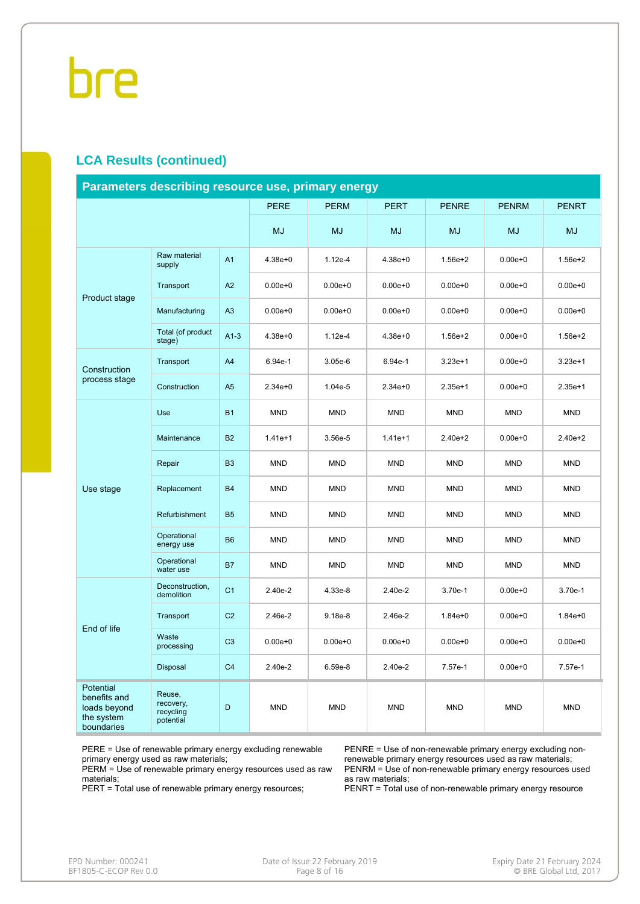### **LCA Results (continued)**

| Parameters describing resource use, primary energy                    |                                               |                |             |             |             |              |              |              |
|-----------------------------------------------------------------------|-----------------------------------------------|----------------|-------------|-------------|-------------|--------------|--------------|--------------|
|                                                                       |                                               |                | <b>PERE</b> | <b>PERM</b> | <b>PERT</b> | <b>PENRE</b> | <b>PENRM</b> | <b>PENRT</b> |
|                                                                       |                                               |                | MJ          | <b>MJ</b>   | <b>MJ</b>   | <b>MJ</b>    | <b>MJ</b>    | MJ           |
|                                                                       | Raw material<br>supply                        | A <sub>1</sub> | $4.38e + 0$ | $1.12e-4$   | $4.38e + 0$ | $1.56e + 2$  | $0.00e + 0$  | $1.56e + 2$  |
| Product stage                                                         | Transport                                     | A2             | $0.00e + 0$ | $0.00e + 0$ | $0.00e + 0$ | $0.00e + 0$  | $0.00e + 0$  | $0.00e + 0$  |
|                                                                       | Manufacturing                                 | A <sub>3</sub> | $0.00e + 0$ | $0.00e + 0$ | $0.00e + 0$ | $0.00e + 0$  | $0.00e + 0$  | $0.00e + 0$  |
|                                                                       | Total (of product<br>stage)                   | $A1-3$         | $4.38e + 0$ | $1.12e-4$   | $4.38e + 0$ | $1.56e + 2$  | $0.00e + 0$  | $1.56e + 2$  |
| Construction                                                          | Transport                                     | A <sub>4</sub> | 6.94e-1     | 3.05e-6     | 6.94e-1     | $3.23e+1$    | $0.00e + 0$  | $3.23e+1$    |
| process stage                                                         | Construction                                  | A <sub>5</sub> | $2.34e + 0$ | 1.04e-5     | $2.34e + 0$ | $2.35e+1$    | $0.00e + 0$  | $2.35e+1$    |
|                                                                       | Use                                           | <b>B1</b>      | <b>MND</b>  | <b>MND</b>  | <b>MND</b>  | <b>MND</b>   | <b>MND</b>   | <b>MND</b>   |
|                                                                       | Maintenance                                   | <b>B2</b>      | $1.41e+1$   | 3.56e-5     | $1.41e+1$   | $2.40e + 2$  | $0.00e + 0$  | $2.40e + 2$  |
|                                                                       | Repair                                        | B <sub>3</sub> | <b>MND</b>  | <b>MND</b>  | <b>MND</b>  | <b>MND</b>   | <b>MND</b>   | <b>MND</b>   |
| Use stage                                                             | Replacement                                   | <b>B4</b>      | <b>MND</b>  | <b>MND</b>  | <b>MND</b>  | <b>MND</b>   | <b>MND</b>   | <b>MND</b>   |
|                                                                       | Refurbishment                                 | <b>B5</b>      | <b>MND</b>  | <b>MND</b>  | <b>MND</b>  | <b>MND</b>   | <b>MND</b>   | <b>MND</b>   |
|                                                                       | Operational<br>energy use                     | <b>B6</b>      | <b>MND</b>  | <b>MND</b>  | <b>MND</b>  | <b>MND</b>   | <b>MND</b>   | <b>MND</b>   |
|                                                                       | Operational<br>water use                      | <b>B7</b>      | <b>MND</b>  | <b>MND</b>  | <b>MND</b>  | <b>MND</b>   | <b>MND</b>   | <b>MND</b>   |
|                                                                       | Deconstruction,<br>demolition                 | C <sub>1</sub> | 2.40e-2     | 4.33e-8     | 2.40e-2     | 3.70e-1      | $0.00e + 0$  | 3.70e-1      |
| End of life                                                           | Transport                                     | C <sub>2</sub> | 2.46e-2     | $9.18e-8$   | 2.46e-2     | $1.84e + 0$  | $0.00e + 0$  | $1.84e + 0$  |
|                                                                       | Waste<br>processing                           | C <sub>3</sub> | $0.00e + 0$ | $0.00e + 0$ | $0.00e + 0$ | $0.00e + 0$  | $0.00e + 0$  | $0.00e + 0$  |
|                                                                       | Disposal                                      | C <sub>4</sub> | 2.40e-2     | $6.59e-8$   | 2.40e-2     | 7.57e-1      | $0.00e + 0$  | 7.57e-1      |
| Potential<br>benefits and<br>loads beyond<br>the system<br>boundaries | Reuse,<br>recovery,<br>recycling<br>potential | D              | <b>MND</b>  | <b>MND</b>  | <b>MND</b>  | <b>MND</b>   | <b>MND</b>   | <b>MND</b>   |

PERE = Use of renewable primary energy excluding renewable primary energy used as raw materials;

PERM = Use of renewable primary energy resources used as raw materials;

PERT = Total use of renewable primary energy resources;

PENRE = Use of non-renewable primary energy excluding nonrenewable primary energy resources used as raw materials; PENRM = Use of non-renewable primary energy resources used as raw materials;

PENRT = Total use of non-renewable primary energy resource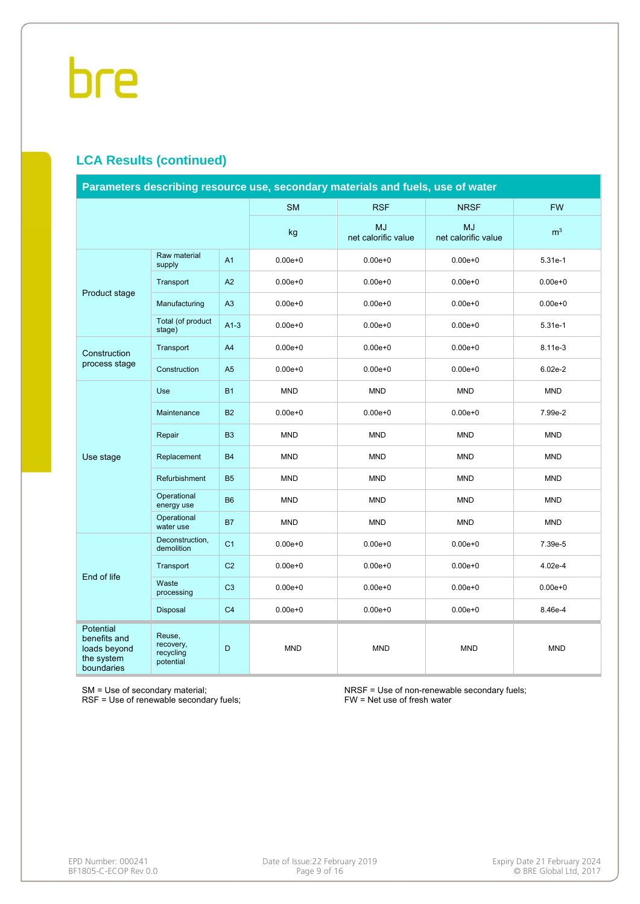### **LCA Results (continued)**

|                                                                              |                                               |                |             | Parameters describing resource use, secondary materials and fuels, use of water |                                  |                |
|------------------------------------------------------------------------------|-----------------------------------------------|----------------|-------------|---------------------------------------------------------------------------------|----------------------------------|----------------|
|                                                                              |                                               |                | <b>SM</b>   | <b>RSF</b>                                                                      | <b>NRSF</b>                      | <b>FW</b>      |
|                                                                              |                                               |                | kg          | <b>MJ</b><br>net calorific value                                                | <b>MJ</b><br>net calorific value | m <sup>3</sup> |
|                                                                              | Raw material<br>supply                        | A <sub>1</sub> | $0.00e + 0$ | $0.00e + 0$                                                                     | $0.00e + 0$                      | 5.31e-1        |
| Product stage                                                                | Transport                                     | A2             | $0.00e + 0$ | $0.00e + 0$                                                                     | $0.00e + 0$                      | $0.00e + 0$    |
|                                                                              | Manufacturing                                 | A3             | $0.00e + 0$ | $0.00e + 0$                                                                     | $0.00e + 0$                      | $0.00e + 0$    |
|                                                                              | Total (of product<br>stage)                   | $A1-3$         | $0.00e + 0$ | $0.00e + 0$                                                                     | $0.00e + 0$                      | 5.31e-1        |
| Construction                                                                 | Transport                                     | A <sub>4</sub> | $0.00e + 0$ | $0.00e + 0$                                                                     | $0.00e + 0$                      | 8.11e-3        |
| process stage                                                                | Construction                                  | A <sub>5</sub> | $0.00e + 0$ | $0.00e + 0$                                                                     | $0.00e + 0$                      | $6.02e-2$      |
|                                                                              | Use                                           | <b>B1</b>      | <b>MND</b>  | <b>MND</b>                                                                      | <b>MND</b>                       | <b>MND</b>     |
|                                                                              | Maintenance                                   | <b>B2</b>      | $0.00e + 0$ | $0.00e + 0$                                                                     | $0.00e + 0$                      | 7.99e-2        |
|                                                                              | Repair                                        | <b>B3</b>      | <b>MND</b>  | <b>MND</b>                                                                      | <b>MND</b>                       | <b>MND</b>     |
| Use stage                                                                    | Replacement                                   | <b>B4</b>      | <b>MND</b>  | <b>MND</b>                                                                      | <b>MND</b>                       | <b>MND</b>     |
|                                                                              | Refurbishment                                 | <b>B5</b>      | <b>MND</b>  | <b>MND</b>                                                                      | <b>MND</b>                       | <b>MND</b>     |
|                                                                              | Operational<br>energy use                     | <b>B6</b>      | <b>MND</b>  | <b>MND</b>                                                                      | <b>MND</b>                       | <b>MND</b>     |
|                                                                              | Operational<br>water use                      | <b>B7</b>      | <b>MND</b>  | <b>MND</b>                                                                      | <b>MND</b>                       | <b>MND</b>     |
|                                                                              | Deconstruction,<br>demolition                 | C <sub>1</sub> | $0.00e + 0$ | $0.00e + 0$                                                                     | $0.00e + 0$                      | 7.39e-5        |
| End of life                                                                  | Transport                                     | C <sub>2</sub> | $0.00e + 0$ | $0.00e + 0$                                                                     | $0.00e + 0$                      | 4.02e-4        |
|                                                                              | Waste<br>processing                           | C <sub>3</sub> | $0.00e + 0$ | $0.00e + 0$                                                                     | $0.00e + 0$                      | $0.00e + 0$    |
|                                                                              | Disposal                                      | C <sub>4</sub> | $0.00e + 0$ | $0.00e + 0$                                                                     | $0.00e + 0$                      | 8.46e-4        |
| <b>Potential</b><br>benefits and<br>loads beyond<br>the system<br>boundaries | Reuse,<br>recovery,<br>recycling<br>potential | D              | <b>MND</b>  | <b>MND</b>                                                                      | <b>MND</b>                       | <b>MND</b>     |

SM = Use of secondary material;

RSF = Use of renewable secondary fuels;

NRSF = Use of non-renewable secondary fuels; FW = Net use of fresh water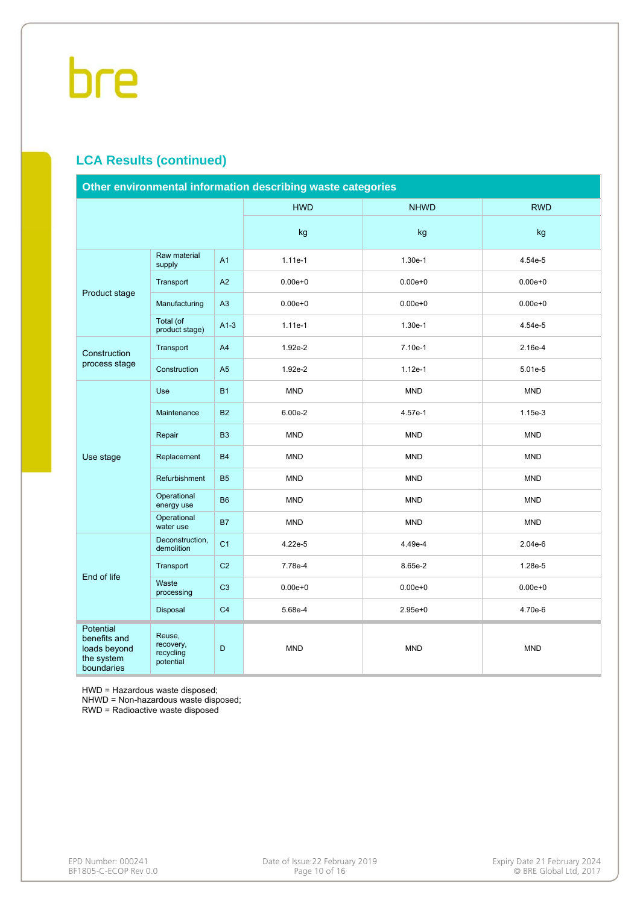### **LCA Results (continued)**

|                                                                       |                                               |                | Other environmental information describing waste categories |             |             |
|-----------------------------------------------------------------------|-----------------------------------------------|----------------|-------------------------------------------------------------|-------------|-------------|
|                                                                       |                                               |                | <b>HWD</b>                                                  | <b>NHWD</b> | <b>RWD</b>  |
|                                                                       |                                               |                | kg                                                          | kg          | kg          |
|                                                                       | Raw material<br>supply                        | A1             | 1.11e-1                                                     | 1.30e-1     | 4.54e-5     |
| Product stage                                                         | Transport                                     | A2             | $0.00e + 0$                                                 | $0.00e + 0$ | $0.00e + 0$ |
|                                                                       | Manufacturing                                 | A3             | $0.00e + 0$                                                 | $0.00e + 0$ | $0.00e + 0$ |
|                                                                       | Total (of<br>product stage)                   | $A1-3$         | $1.11e-1$                                                   | 1.30e-1     | 4.54e-5     |
| Construction                                                          | Transport                                     | A4             | 1.92e-2                                                     | 7.10e-1     | 2.16e-4     |
| process stage                                                         | Construction                                  | A <sub>5</sub> | 1.92e-2                                                     | $1.12e-1$   | 5.01e-5     |
|                                                                       | <b>Use</b>                                    | <b>B1</b>      | <b>MND</b>                                                  | <b>MND</b>  | <b>MND</b>  |
|                                                                       | Maintenance                                   | <b>B2</b>      | 6.00e-2                                                     | 4.57e-1     | $1.15e-3$   |
|                                                                       | Repair                                        | <b>B3</b>      | <b>MND</b>                                                  | <b>MND</b>  | <b>MND</b>  |
| Use stage                                                             | Replacement                                   | <b>B4</b>      | <b>MND</b>                                                  | <b>MND</b>  | <b>MND</b>  |
|                                                                       | Refurbishment                                 | <b>B5</b>      | <b>MND</b>                                                  | <b>MND</b>  | <b>MND</b>  |
|                                                                       | Operational<br>energy use                     | <b>B6</b>      | <b>MND</b>                                                  | <b>MND</b>  | <b>MND</b>  |
|                                                                       | Operational<br>water use                      | <b>B7</b>      | <b>MND</b>                                                  | <b>MND</b>  | <b>MND</b>  |
|                                                                       | Deconstruction,<br>demolition                 | C <sub>1</sub> | 4.22e-5                                                     | 4.49e-4     | 2.04e-6     |
| End of life                                                           | Transport                                     | C <sub>2</sub> | 7.78e-4                                                     | 8.65e-2     | 1.28e-5     |
|                                                                       | Waste<br>processing                           | C <sub>3</sub> | $0.00e + 0$                                                 | $0.00e + 0$ | $0.00e + 0$ |
|                                                                       | Disposal                                      | C <sub>4</sub> | 5.68e-4                                                     | $2.95e + 0$ | 4.70e-6     |
| Potential<br>benefits and<br>loads beyond<br>the system<br>boundaries | Reuse,<br>recovery,<br>recycling<br>potential | D              | <b>MND</b>                                                  | <b>MND</b>  | <b>MND</b>  |

HWD = Hazardous waste disposed;

NHWD = Non-hazardous waste disposed;

RWD = Radioactive waste disposed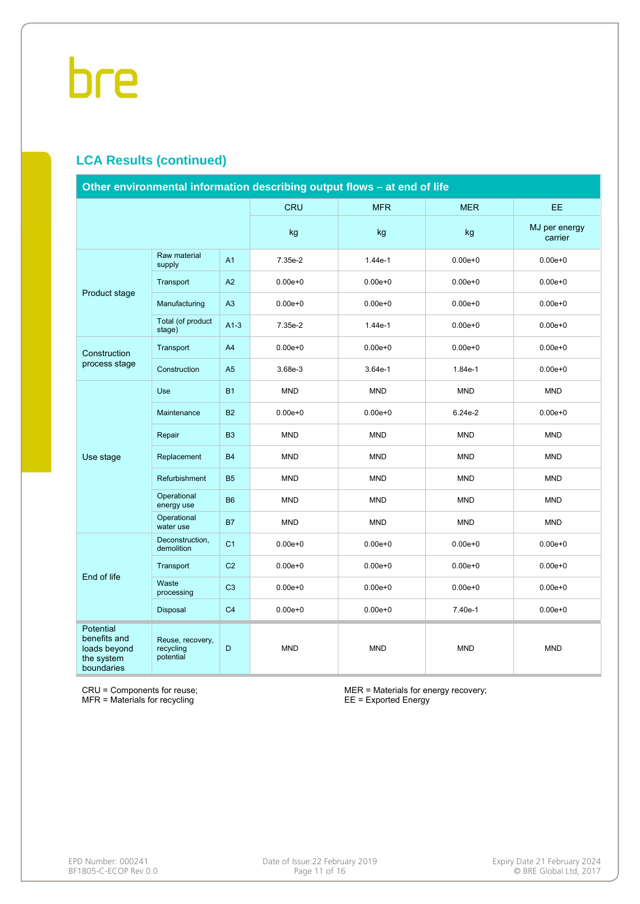### **LCA Results (continued)**

|                                                                       |                                            |                | Other environmental information describing output flows - at end of life |             |             |                          |
|-----------------------------------------------------------------------|--------------------------------------------|----------------|--------------------------------------------------------------------------|-------------|-------------|--------------------------|
|                                                                       |                                            |                | CRU                                                                      | <b>MFR</b>  | <b>MER</b>  | EE.                      |
|                                                                       |                                            |                | kg                                                                       | kg          | kg          | MJ per energy<br>carrier |
|                                                                       | Raw material<br>supply                     | A1             | 7.35e-2                                                                  | $1.44e-1$   | $0.00e + 0$ | $0.00e + 0$              |
| Product stage                                                         | Transport                                  | A2             | $0.00e + 0$                                                              | $0.00e + 0$ | $0.00e + 0$ | $0.00e + 0$              |
|                                                                       | Manufacturing                              | A3             | $0.00e + 0$                                                              | $0.00e + 0$ | $0.00e + 0$ | $0.00e + 0$              |
|                                                                       | Total (of product<br>stage)                | $A1-3$         | 7.35e-2                                                                  | 1.44e-1     | $0.00e + 0$ | $0.00e + 0$              |
| Construction                                                          | Transport                                  | A4             | $0.00e + 0$                                                              | $0.00e + 0$ | $0.00e + 0$ | $0.00e + 0$              |
| process stage                                                         | Construction                               | A <sub>5</sub> | 3.68e-3                                                                  | $3.64e-1$   | 1.84e-1     | $0.00e + 0$              |
|                                                                       | Use                                        | <b>B1</b>      | <b>MND</b>                                                               | <b>MND</b>  | <b>MND</b>  | <b>MND</b>               |
|                                                                       | Maintenance                                | <b>B2</b>      | $0.00e + 0$                                                              | $0.00e + 0$ | 6.24e-2     | $0.00e + 0$              |
|                                                                       | Repair                                     | <b>B3</b>      | <b>MND</b>                                                               | <b>MND</b>  | <b>MND</b>  | <b>MND</b>               |
| Use stage                                                             | Replacement                                | <b>B4</b>      | <b>MND</b>                                                               | <b>MND</b>  | <b>MND</b>  | <b>MND</b>               |
|                                                                       | Refurbishment                              | <b>B5</b>      | <b>MND</b>                                                               | <b>MND</b>  | <b>MND</b>  | <b>MND</b>               |
|                                                                       | Operational<br>energy use                  | <b>B6</b>      | <b>MND</b>                                                               | <b>MND</b>  | <b>MND</b>  | <b>MND</b>               |
|                                                                       | Operational<br>water use                   | <b>B7</b>      | <b>MND</b>                                                               | <b>MND</b>  | <b>MND</b>  | <b>MND</b>               |
|                                                                       | Deconstruction,<br>demolition              | C <sub>1</sub> | $0.00e + 0$                                                              | $0.00e + 0$ | $0.00e + 0$ | $0.00e + 0$              |
| End of life                                                           | Transport                                  | C <sub>2</sub> | $0.00e + 0$                                                              | $0.00e + 0$ | $0.00e + 0$ | $0.00e + 0$              |
|                                                                       | Waste<br>processing                        | C <sub>3</sub> | $0.00e + 0$                                                              | $0.00e + 0$ | $0.00e + 0$ | $0.00e + 0$              |
|                                                                       | Disposal                                   | C <sub>4</sub> | $0.00e + 0$                                                              | $0.00e + 0$ | 7.40e-1     | $0.00e + 0$              |
| Potential<br>benefits and<br>loads beyond<br>the system<br>boundaries | Reuse, recovery,<br>recycling<br>potential | D              | <b>MND</b>                                                               | <b>MND</b>  | <b>MND</b>  | <b>MND</b>               |

CRU = Components for reuse; MFR = Materials for recycling

MER = Materials for energy recovery; EE = Exported Energy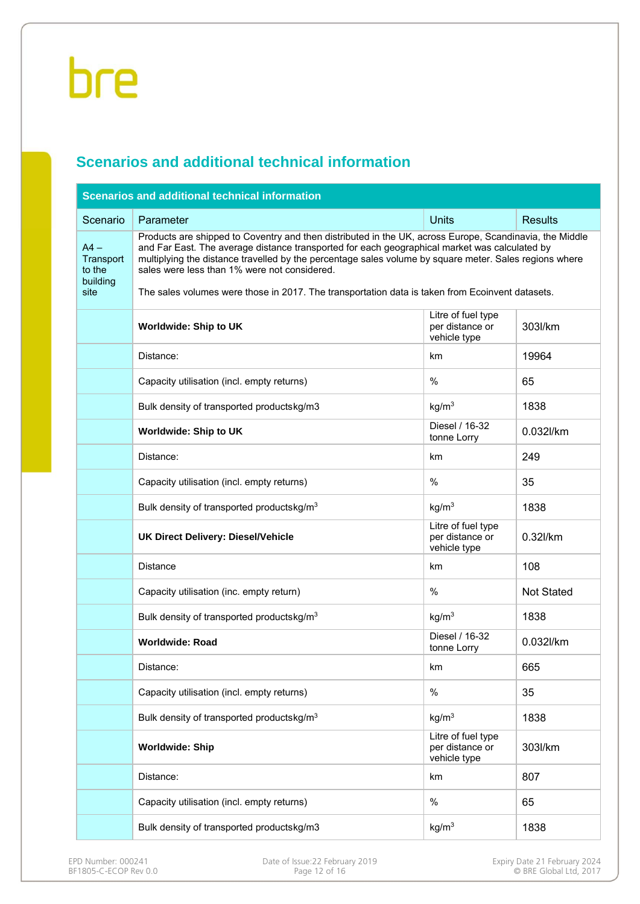### **Scenarios and additional technical information**

|                                                   | <b>Scenarios and additional technical information</b>                                                                                                                                                                                                                                                                                                                                                                                                                 |                                                       |                   |
|---------------------------------------------------|-----------------------------------------------------------------------------------------------------------------------------------------------------------------------------------------------------------------------------------------------------------------------------------------------------------------------------------------------------------------------------------------------------------------------------------------------------------------------|-------------------------------------------------------|-------------------|
| Scenario                                          | Parameter                                                                                                                                                                                                                                                                                                                                                                                                                                                             | <b>Units</b>                                          | <b>Results</b>    |
| $AA -$<br>Transport<br>to the<br>building<br>site | Products are shipped to Coventry and then distributed in the UK, across Europe, Scandinavia, the Middle<br>and Far East. The average distance transported for each geographical market was calculated by<br>multiplying the distance travelled by the percentage sales volume by square meter. Sales regions where<br>sales were less than 1% were not considered.<br>The sales volumes were those in 2017. The transportation data is taken from Ecoinvent datasets. |                                                       |                   |
|                                                   | <b>Worldwide: Ship to UK</b>                                                                                                                                                                                                                                                                                                                                                                                                                                          | Litre of fuel type<br>per distance or<br>vehicle type | 303l/km           |
|                                                   | Distance:                                                                                                                                                                                                                                                                                                                                                                                                                                                             | km                                                    | 19964             |
|                                                   | Capacity utilisation (incl. empty returns)                                                                                                                                                                                                                                                                                                                                                                                                                            | %                                                     | 65                |
|                                                   | Bulk density of transported productskg/m3                                                                                                                                                                                                                                                                                                                                                                                                                             | kg/m <sup>3</sup>                                     | 1838              |
|                                                   | Worldwide: Ship to UK                                                                                                                                                                                                                                                                                                                                                                                                                                                 | Diesel / 16-32<br>tonne Lorry                         | 0.032l/km         |
|                                                   | Distance:                                                                                                                                                                                                                                                                                                                                                                                                                                                             | km                                                    | 249               |
|                                                   | Capacity utilisation (incl. empty returns)                                                                                                                                                                                                                                                                                                                                                                                                                            | $\%$                                                  | 35                |
|                                                   | Bulk density of transported productskg/m <sup>3</sup>                                                                                                                                                                                                                                                                                                                                                                                                                 | kg/m <sup>3</sup>                                     | 1838              |
|                                                   | <b>UK Direct Delivery: Diesel/Vehicle</b>                                                                                                                                                                                                                                                                                                                                                                                                                             | Litre of fuel type<br>per distance or<br>vehicle type | 0.32l/km          |
|                                                   | <b>Distance</b>                                                                                                                                                                                                                                                                                                                                                                                                                                                       | km                                                    | 108               |
|                                                   | Capacity utilisation (inc. empty return)                                                                                                                                                                                                                                                                                                                                                                                                                              | %                                                     | <b>Not Stated</b> |
|                                                   | Bulk density of transported productskg/m <sup>3</sup>                                                                                                                                                                                                                                                                                                                                                                                                                 | kg/m <sup>3</sup>                                     | 1838              |
|                                                   | <b>Worldwide: Road</b>                                                                                                                                                                                                                                                                                                                                                                                                                                                | Diesel / 16-32<br>tonne Lorry                         | 0.032l/km         |
|                                                   | Distance:                                                                                                                                                                                                                                                                                                                                                                                                                                                             | km                                                    | 665               |
|                                                   | Capacity utilisation (incl. empty returns)                                                                                                                                                                                                                                                                                                                                                                                                                            | %                                                     | 35                |
|                                                   | Bulk density of transported productskg/m <sup>3</sup>                                                                                                                                                                                                                                                                                                                                                                                                                 | kg/m <sup>3</sup>                                     | 1838              |
|                                                   | <b>Worldwide: Ship</b>                                                                                                                                                                                                                                                                                                                                                                                                                                                | Litre of fuel type<br>per distance or<br>vehicle type | 303l/km           |
|                                                   | Distance:                                                                                                                                                                                                                                                                                                                                                                                                                                                             | km                                                    | 807               |
|                                                   | Capacity utilisation (incl. empty returns)                                                                                                                                                                                                                                                                                                                                                                                                                            | %                                                     | 65                |
|                                                   | Bulk density of transported productskg/m3                                                                                                                                                                                                                                                                                                                                                                                                                             | kg/m <sup>3</sup>                                     | 1838              |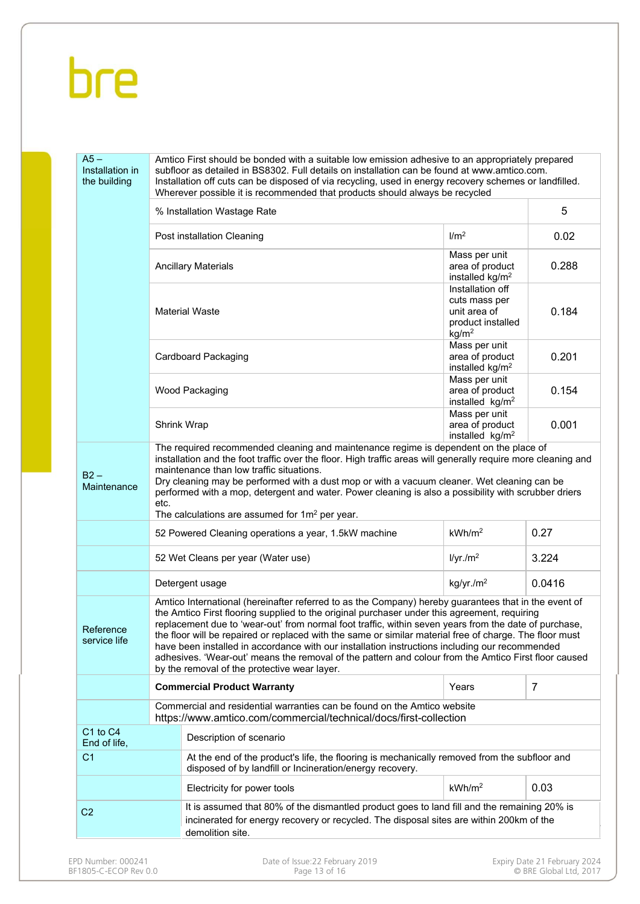| the building                                                            |      | Amtico First should be bonded with a suitable low emission adhesive to an appropriately prepared<br>subfloor as detailed in BS8302. Full details on installation can be found at www.amtico.com.<br>Installation off cuts can be disposed of via recycling, used in energy recovery schemes or landfilled.<br>Wherever possible it is recommended that products should always be recycled                                                                                                                                                                                                                                                                                          |                                                                                             |        |
|-------------------------------------------------------------------------|------|------------------------------------------------------------------------------------------------------------------------------------------------------------------------------------------------------------------------------------------------------------------------------------------------------------------------------------------------------------------------------------------------------------------------------------------------------------------------------------------------------------------------------------------------------------------------------------------------------------------------------------------------------------------------------------|---------------------------------------------------------------------------------------------|--------|
|                                                                         |      | % Installation Wastage Rate                                                                                                                                                                                                                                                                                                                                                                                                                                                                                                                                                                                                                                                        |                                                                                             | 5      |
|                                                                         |      | Post installation Cleaning                                                                                                                                                                                                                                                                                                                                                                                                                                                                                                                                                                                                                                                         | 1/m <sup>2</sup>                                                                            | 0.02   |
|                                                                         |      | <b>Ancillary Materials</b>                                                                                                                                                                                                                                                                                                                                                                                                                                                                                                                                                                                                                                                         | Mass per unit<br>area of product<br>installed $kg/m2$                                       | 0.288  |
|                                                                         |      | <b>Material Waste</b>                                                                                                                                                                                                                                                                                                                                                                                                                                                                                                                                                                                                                                                              | Installation off<br>cuts mass per<br>unit area of<br>product installed<br>kg/m <sup>2</sup> | 0.184  |
|                                                                         |      | Cardboard Packaging                                                                                                                                                                                                                                                                                                                                                                                                                                                                                                                                                                                                                                                                | Mass per unit<br>area of product<br>installed kg/m <sup>2</sup>                             | 0.201  |
|                                                                         |      | Wood Packaging                                                                                                                                                                                                                                                                                                                                                                                                                                                                                                                                                                                                                                                                     | Mass per unit<br>area of product<br>installed kg/m <sup>2</sup>                             | 0.154  |
|                                                                         |      | <b>Shrink Wrap</b>                                                                                                                                                                                                                                                                                                                                                                                                                                                                                                                                                                                                                                                                 | Mass per unit<br>area of product<br>installed kg/m <sup>2</sup>                             | 0.001  |
| $B2 -$<br>Maintenance                                                   | etc. | maintenance than low traffic situations.<br>Dry cleaning may be performed with a dust mop or with a vacuum cleaner. Wet cleaning can be<br>performed with a mop, detergent and water. Power cleaning is also a possibility with scrubber driers                                                                                                                                                                                                                                                                                                                                                                                                                                    |                                                                                             |        |
|                                                                         |      | The calculations are assumed for $1m^2$ per year.                                                                                                                                                                                                                                                                                                                                                                                                                                                                                                                                                                                                                                  |                                                                                             |        |
|                                                                         |      | 52 Powered Cleaning operations a year, 1.5kW machine                                                                                                                                                                                                                                                                                                                                                                                                                                                                                                                                                                                                                               | kWh/m <sup>2</sup>                                                                          | 0.27   |
|                                                                         |      | 52 Wet Cleans per year (Water use)                                                                                                                                                                                                                                                                                                                                                                                                                                                                                                                                                                                                                                                 | I/yr./m <sup>2</sup>                                                                        | 3.224  |
|                                                                         |      | Detergent usage                                                                                                                                                                                                                                                                                                                                                                                                                                                                                                                                                                                                                                                                    | kg/yr./m <sup>2</sup>                                                                       | 0.0416 |
|                                                                         |      | Amtico International (hereinafter referred to as the Company) hereby guarantees that in the event of<br>the Amtico First flooring supplied to the original purchaser under this agreement, requiring<br>replacement due to 'wear-out' from normal foot traffic, within seven years from the date of purchase,<br>the floor will be repaired or replaced with the same or similar material free of charge. The floor must<br>have been installed in accordance with our installation instructions including our recommended<br>adhesives. 'Wear-out' means the removal of the pattern and colour from the Amtico First floor caused<br>by the removal of the protective wear layer. |                                                                                             |        |
|                                                                         |      | <b>Commercial Product Warranty</b>                                                                                                                                                                                                                                                                                                                                                                                                                                                                                                                                                                                                                                                 | Years                                                                                       | 7      |
|                                                                         |      | Commercial and residential warranties can be found on the Amtico website<br>https://www.amtico.com/commercial/technical/docs/first-collection                                                                                                                                                                                                                                                                                                                                                                                                                                                                                                                                      |                                                                                             |        |
|                                                                         |      | Description of scenario                                                                                                                                                                                                                                                                                                                                                                                                                                                                                                                                                                                                                                                            |                                                                                             |        |
|                                                                         |      | At the end of the product's life, the flooring is mechanically removed from the subfloor and<br>disposed of by landfill or Incineration/energy recovery.                                                                                                                                                                                                                                                                                                                                                                                                                                                                                                                           |                                                                                             |        |
| Reference<br>service life<br>C1 to C4<br>End of life,<br>C <sub>1</sub> |      | Electricity for power tools                                                                                                                                                                                                                                                                                                                                                                                                                                                                                                                                                                                                                                                        | kWh/m <sup>2</sup>                                                                          | 0.03   |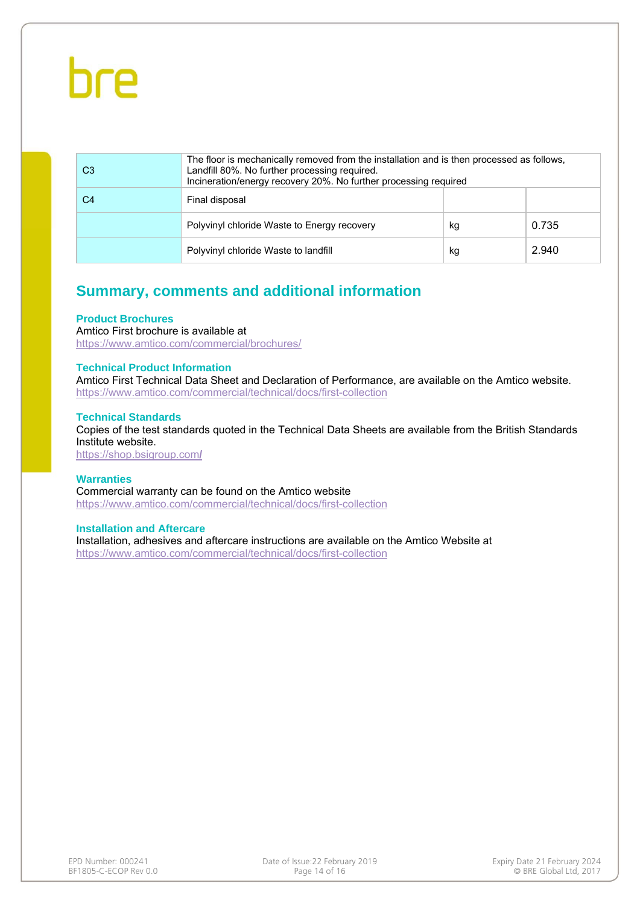| C <sub>3</sub> | The floor is mechanically removed from the installation and is then processed as follows.<br>Landfill 80%. No further processing required.<br>Incineration/energy recovery 20%. No further processing required |    |       |
|----------------|----------------------------------------------------------------------------------------------------------------------------------------------------------------------------------------------------------------|----|-------|
| C4             | Final disposal                                                                                                                                                                                                 |    |       |
|                | Polyvinyl chloride Waste to Energy recovery                                                                                                                                                                    | kg | 0.735 |
|                | Polyvinyl chloride Waste to landfill                                                                                                                                                                           | kg | 2.940 |

### **Summary, comments and additional information**

#### **Product Brochures**

Amtico First brochure is available at https://www.amtico.com/commercial/brochures/

#### **Technical Product Information**

Amtico First Technical Data Sheet and Declaration of Performance, are available on the Amtico website. https://www.amtico.com/commercial/technical/docs/first-collection

#### **Technical Standards**

Copies of the test standards quoted in the Technical Data Sheets are available from the British Standards Institute website.

https://shop.bsigroup.com**/** 

#### **Warranties**

Commercial warranty can be found on the Amtico website https://www.amtico.com/commercial/technical/docs/first-collection

#### **Installation and Aftercare**

Installation, adhesives and aftercare instructions are available on the Amtico Website at https://www.amtico.com/commercial/technical/docs/first-collection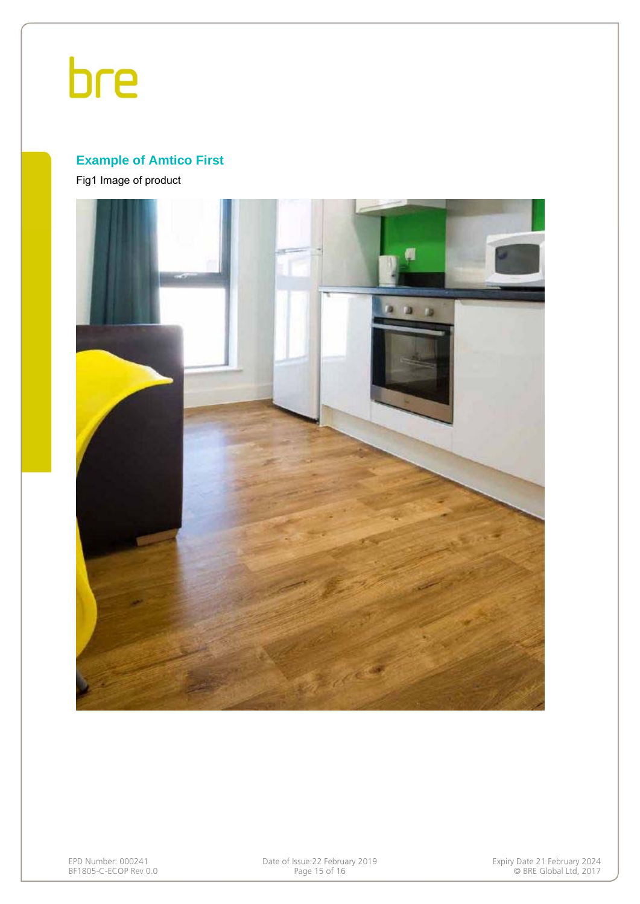### **Example of Amtico First**

Fig1 Image of product



EPD Number: 000241 Date of Issue:22 February 2019 Expiry Date 21 February 2024 BF1805-C-ECOP Rev 0.0 Page 15 of 16 © BRE Global Ltd, 2017